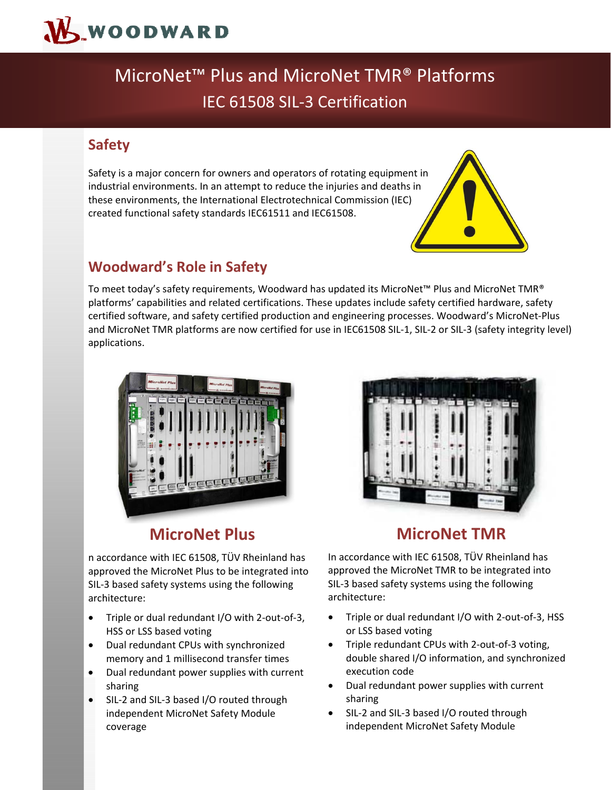

# MicroNet™ Plus and MicroNet TMR® Platforms IEC 61508 SIL‐3 Certification

### **Safety**

Safety is a major concern for owners and operators of rotating equipment in industrial environments. In an attempt to reduce the injuries and deaths in these environments, the International Electrotechnical Commission (IEC) created functional safety standards IEC61511 and IEC61508.



### **Woodward's Role in Safety**

To meet today's safety requirements, Woodward has updated its MicroNet™ Plus and MicroNet TMR® platforms' capabilities and related certifications. These updates include safety certified hardware, safety certified software, and safety certified production and engineering processes. Woodward's MicroNet‐Plus and MicroNet TMR platforms are now certified for use in IEC61508 SIL-1, SIL-2 or SIL-3 (safety integrity level) applications.





## **MicroNet Plus**

n accordance with IEC 61508, TÜV Rheinland has approved the MicroNet Plus to be integrated into SIL‐3 based safety systems using the following architecture:

- Triple or dual redundant I/O with 2‐out‐of‐3, HSS or LSS based voting
- Dual redundant CPUs with synchronized memory and 1 millisecond transfer times
- Dual redundant power supplies with current sharing
- SIL‐2 and SIL‐3 based I/O routed through independent MicroNet Safety Module coverage

### **MicroNet TMR**

In accordance with IEC 61508, TÜV Rheinland has approved the MicroNet TMR to be integrated into SIL‐3 based safety systems using the following architecture:

- Triple or dual redundant I/O with 2‐out‐of‐3, HSS or LSS based voting
- Triple redundant CPUs with 2-out-of-3 voting, double shared I/O information, and synchronized execution code
- Dual redundant power supplies with current sharing
- SIL‐2 and SIL‐3 based I/O routed through independent MicroNet Safety Module